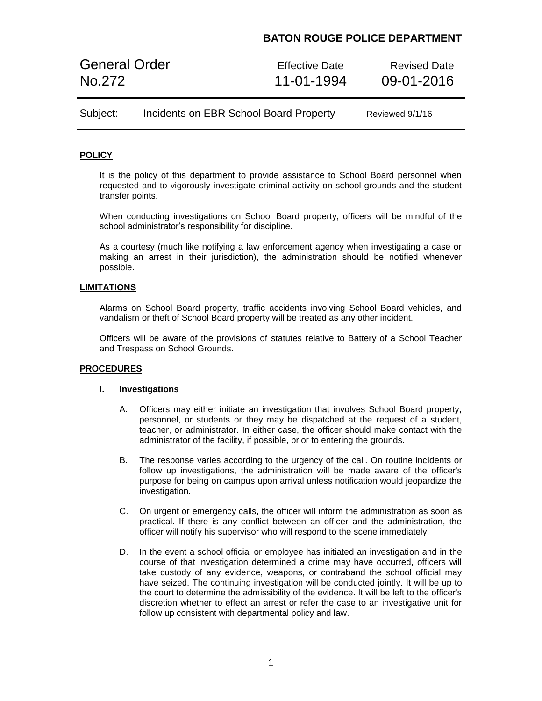## **BATON ROUGE POLICE DEPARTMENT**

| <b>General Order</b> | <b>Effective Date</b> | <b>Revised Date</b> |
|----------------------|-----------------------|---------------------|
| No.272               | 11-01-1994            | 09-01-2016          |

| Subject: | Incidents on EBR School Board Property | Reviewed 9/1/16 |
|----------|----------------------------------------|-----------------|
|----------|----------------------------------------|-----------------|

## **POLICY**

It is the policy of this department to provide assistance to School Board personnel when requested and to vigorously investigate criminal activity on school grounds and the student transfer points.

When conducting investigations on School Board property, officers will be mindful of the school administrator's responsibility for discipline.

As a courtesy (much like notifying a law enforcement agency when investigating a case or making an arrest in their jurisdiction), the administration should be notified whenever possible.

### **LIMITATIONS**

Alarms on School Board property, traffic accidents involving School Board vehicles, and vandalism or theft of School Board property will be treated as any other incident.

Officers will be aware of the provisions of statutes relative to Battery of a School Teacher and Trespass on School Grounds.

## **PROCEDURES**

#### **I. Investigations**

- A. Officers may either initiate an investigation that involves School Board property, personnel, or students or they may be dispatched at the request of a student, teacher, or administrator. In either case, the officer should make contact with the administrator of the facility, if possible, prior to entering the grounds.
- B. The response varies according to the urgency of the call. On routine incidents or follow up investigations, the administration will be made aware of the officer's purpose for being on campus upon arrival unless notification would jeopardize the investigation.
- C. On urgent or emergency calls, the officer will inform the administration as soon as practical. If there is any conflict between an officer and the administration, the officer will notify his supervisor who will respond to the scene immediately.
- D. In the event a school official or employee has initiated an investigation and in the course of that investigation determined a crime may have occurred, officers will take custody of any evidence, weapons, or contraband the school official may have seized. The continuing investigation will be conducted jointly. It will be up to the court to determine the admissibility of the evidence. It will be left to the officer's discretion whether to effect an arrest or refer the case to an investigative unit for follow up consistent with departmental policy and law.